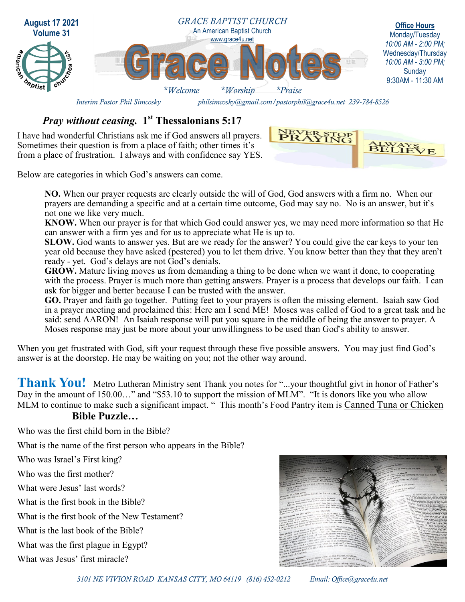

### *Pray without ceasing.* **1 st Thessalonians 5:17**

I have had wonderful Christians ask me if God answers all prayers. Sometimes their question is from a place of faith; other times it's from a place of frustration. I always and with confidence say YES.



Below are categories in which God's answers can come.

**NO.** When our prayer requests are clearly outside the will of God, God answers with a firm no. When our prayers are demanding a specific and at a certain time outcome, God may say no. No is an answer, but it's not one we like very much.

**KNOW.** When our prayer is for that which God could answer yes, we may need more information so that He can answer with a firm yes and for us to appreciate what He is up to.

**SLOW.** God wants to answer yes. But are we ready for the answer? You could give the car keys to your ten year old because they have asked (pestered) you to let them drive. You know better than they that they aren't ready - yet. God's delays are not God's denials.

**GROW.** Mature living moves us from demanding a thing to be done when we want it done, to cooperating with the process. Prayer is much more than getting answers. Prayer is a process that develops our faith. I can ask for bigger and better because I can be trusted with the answer.

**GO.** Prayer and faith go together. Putting feet to your prayers is often the missing element. Isaiah saw God in a prayer meeting and proclaimed this: Here am I send ME! Moses was called of God to a great task and he said: send AARON! An Isaiah response will put you square in the middle of being the answer to prayer. A Moses response may just be more about your unwillingness to be used than God's ability to answer.

When you get frustrated with God, sift your request through these five possible answers. You may just find God's answer is at the doorstep. He may be waiting on you; not the other way around.

Thank You! Metro Lutheran Ministry sent Thank you notes for "...your thoughtful givt in honor of Father's Day in the amount of 150.00..." and "\$53.10 to support the mission of MLM". "It is donors like you who allow MLM to continue to make such a significant impact. " This month's Food Pantry item is Canned Tuna or Chicken

#### **Bible Puzzle…**

Who was the first child born in the Bible?

What is the name of the first person who appears in the Bible?

Who was Israel's First king?

Who was the first mother?

What were Jesus' last words?

What is the first book in the Bible?

What is the first book of the New Testament?

What is the last book of the Bible?

What was the first plague in Egypt?

What was Jesus' first miracle?



*3101 NE VIVION ROAD KANSAS CITY, MO 64119 (816) 452-0212 Email: Office@grace4u.net*